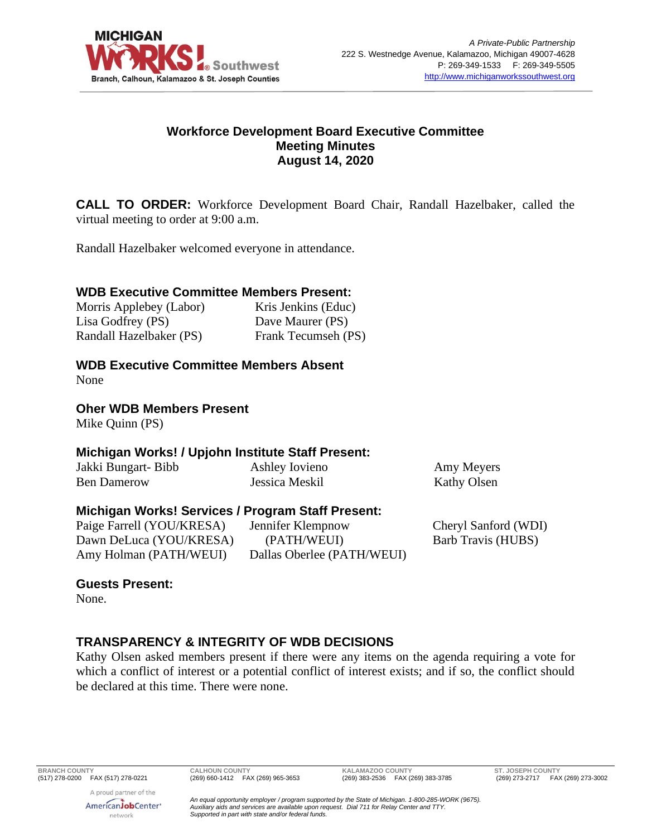

#### **Workforce Development Board Executive Committee Meeting Minutes August 14, 2020**

**CALL TO ORDER:** Workforce Development Board Chair, Randall Hazelbaker, called the virtual meeting to order at 9:00 a.m.

Randall Hazelbaker welcomed everyone in attendance.

### **WDB Executive Committee Members Present:**

| Morris Applebey (Labor) | Kris Jenkins (Educ) |
|-------------------------|---------------------|
| Lisa Godfrey (PS)       | Dave Maurer (PS)    |
| Randall Hazelbaker (PS) | Frank Tecumseh (PS) |

## **WDB Executive Committee Members Absent**

None

### **Oher WDB Members Present**

Mike Quinn (PS)

### **Michigan Works! / Upjohn Institute Staff Present:**

| Jakki Bungart- Bibb | Ashley Iovieno |
|---------------------|----------------|
| Ben Damerow         | Jessica Meskil |

Amy Meyers Kathy Olsen

### **Michigan Works! Services / Program Staff Present:**

Paige Farrell (YOU/KRESA) Dawn DeLuca (YOU/KRESA) Amy Holman (PATH/WEUI)

Jennifer Klempnow (PATH/WEUI) Dallas Oberlee (PATH/WEUI) Cheryl Sanford (WDI) Barb Travis (HUBS)

### **Guests Present:**

None.

# **TRANSPARENCY & INTEGRITY OF WDB DECISIONS**

Kathy Olsen asked members present if there were any items on the agenda requiring a vote for which a conflict of interest or a potential conflict of interest exists; and if so, the conflict should be declared at this time. There were none.

**BRANCH COUNTY CALHOUN COUNTY KALAMAZOO COUNTY ST. JOSEPH COUNTY**

A proud partner of the AmericanJobCenter<sup>®</sup> network

(269) 273-2717 FAX (269) 273-3002

*An equal opportunity employer / program supported by the State of Michigan. 1-800-285-WORK (9675). Auxiliary aids and services are available upon request. Dial 711 for Relay Center and TTY. Supported in part with state and/or federal funds.*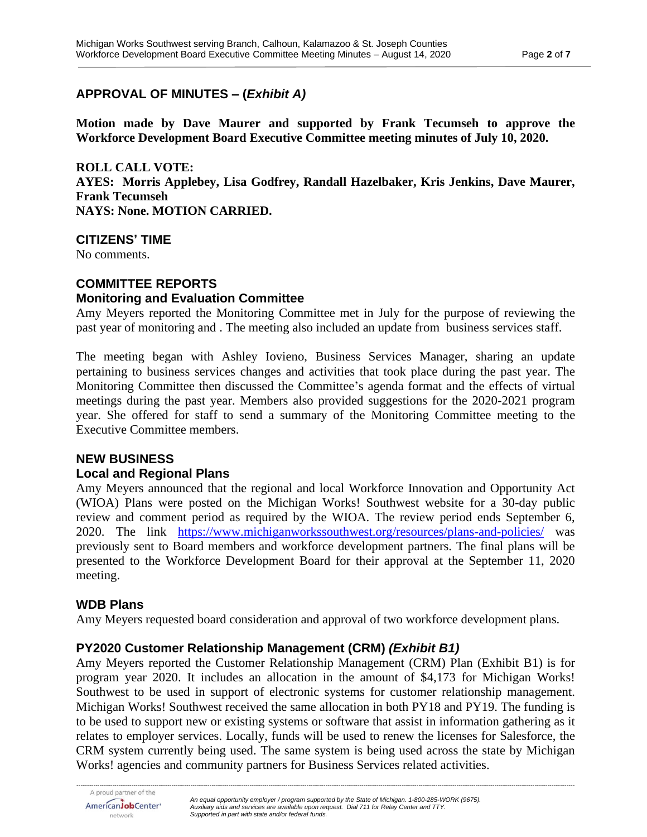## **APPROVAL OF MINUTES – (***Exhibit A)*

**Motion made by Dave Maurer and supported by Frank Tecumseh to approve the Workforce Development Board Executive Committee meeting minutes of July 10, 2020.**

**ROLL CALL VOTE: AYES: Morris Applebey, Lisa Godfrey, Randall Hazelbaker, Kris Jenkins, Dave Maurer, Frank Tecumseh NAYS: None. MOTION CARRIED.**

**CITIZENS' TIME**

No comments.

# **COMMITTEE REPORTS**

## **Monitoring and Evaluation Committee**

Amy Meyers reported the Monitoring Committee met in July for the purpose of reviewing the past year of monitoring and . The meeting also included an update from business services staff.

The meeting began with Ashley Iovieno, Business Services Manager, sharing an update pertaining to business services changes and activities that took place during the past year. The Monitoring Committee then discussed the Committee's agenda format and the effects of virtual meetings during the past year. Members also provided suggestions for the 2020-2021 program year. She offered for staff to send a summary of the Monitoring Committee meeting to the Executive Committee members.

### **NEW BUSINESS**

### **Local and Regional Plans**

Amy Meyers announced that the regional and local Workforce Innovation and Opportunity Act (WIOA) Plans were posted on the Michigan Works! Southwest website for a 30-day public review and comment period as required by the WIOA. The review period ends September 6, 2020. The link <https://www.michiganworkssouthwest.org/resources/plans-and-policies/> was previously sent to Board members and workforce development partners. The final plans will be presented to the Workforce Development Board for their approval at the September 11, 2020 meeting.

### **WDB Plans**

Amy Meyers requested board consideration and approval of two workforce development plans.

### **PY2020 Customer Relationship Management (CRM)** *(Exhibit B1)*

Amy Meyers reported the Customer Relationship Management (CRM) Plan (Exhibit B1) is for program year 2020. It includes an allocation in the amount of \$4,173 for Michigan Works! Southwest to be used in support of electronic systems for customer relationship management. Michigan Works! Southwest received the same allocation in both PY18 and PY19. The funding is to be used to support new or existing systems or software that assist in information gathering as it relates to employer services. Locally, funds will be used to renew the licenses for Salesforce, the CRM system currently being used. The same system is being used across the state by Michigan Works! agencies and community partners for Business Services related activities.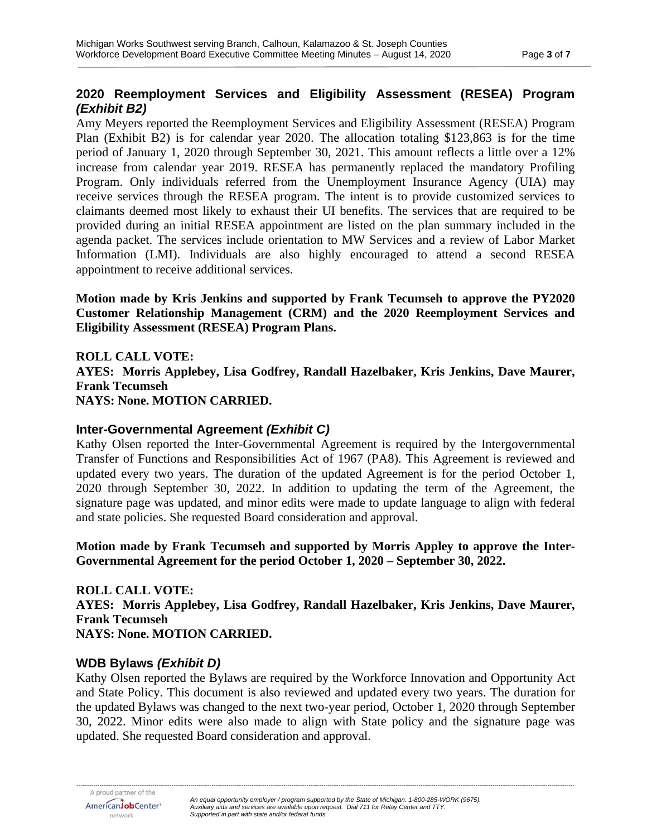## **2020 Reemployment Services and Eligibility Assessment (RESEA) Program**  *(Exhibit B2)*

Amy Meyers reported the Reemployment Services and Eligibility Assessment (RESEA) Program Plan (Exhibit B2) is for calendar year 2020. The allocation totaling \$123,863 is for the time period of January 1, 2020 through September 30, 2021. This amount reflects a little over a 12% increase from calendar year 2019. RESEA has permanently replaced the mandatory Profiling Program. Only individuals referred from the Unemployment Insurance Agency (UIA) may receive services through the RESEA program. The intent is to provide customized services to claimants deemed most likely to exhaust their UI benefits. The services that are required to be provided during an initial RESEA appointment are listed on the plan summary included in the agenda packet. The services include orientation to MW Services and a review of Labor Market Information (LMI). Individuals are also highly encouraged to attend a second RESEA appointment to receive additional services.

**Motion made by Kris Jenkins and supported by Frank Tecumseh to approve the PY2020 Customer Relationship Management (CRM) and the 2020 Reemployment Services and Eligibility Assessment (RESEA) Program Plans.**

**ROLL CALL VOTE: AYES: Morris Applebey, Lisa Godfrey, Randall Hazelbaker, Kris Jenkins, Dave Maurer, Frank Tecumseh NAYS: None. MOTION CARRIED.**

### **Inter-Governmental Agreement** *(Exhibit C)*

Kathy Olsen reported the Inter-Governmental Agreement is required by the Intergovernmental Transfer of Functions and Responsibilities Act of 1967 (PA8). This Agreement is reviewed and updated every two years. The duration of the updated Agreement is for the period October 1, 2020 through September 30, 2022. In addition to updating the term of the Agreement, the signature page was updated, and minor edits were made to update language to align with federal and state policies. She requested Board consideration and approval.

**Motion made by Frank Tecumseh and supported by Morris Appley to approve the Inter-Governmental Agreement for the period October 1, 2020 – September 30, 2022.**

**ROLL CALL VOTE: AYES: Morris Applebey, Lisa Godfrey, Randall Hazelbaker, Kris Jenkins, Dave Maurer, Frank Tecumseh NAYS: None. MOTION CARRIED.**

#### **WDB Bylaws** *(Exhibit D)*

Kathy Olsen reported the Bylaws are required by the Workforce Innovation and Opportunity Act and State Policy. This document is also reviewed and updated every two years. The duration for the updated Bylaws was changed to the next two-year period, October 1, 2020 through September 30, 2022. Minor edits were also made to align with State policy and the signature page was updated. She requested Board consideration and approval.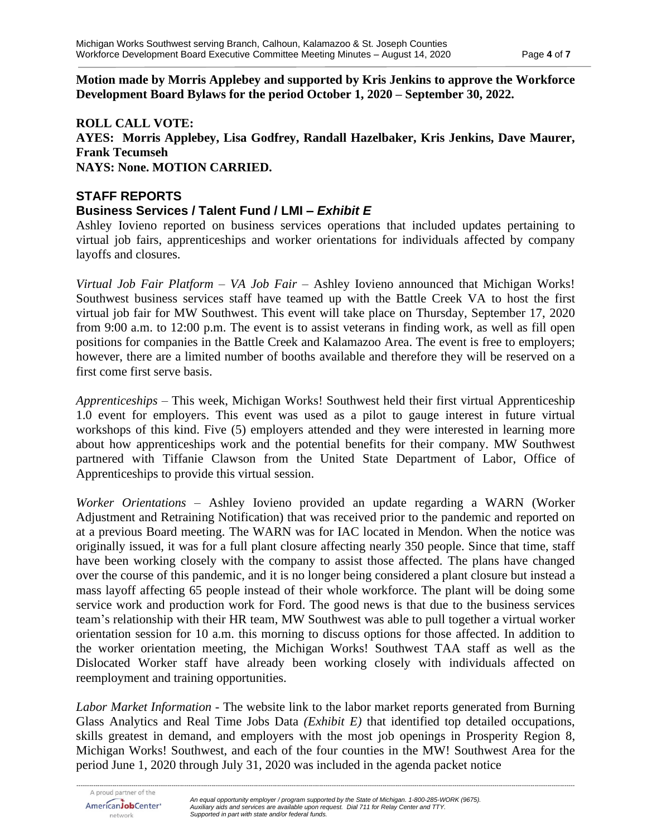#### **Motion made by Morris Applebey and supported by Kris Jenkins to approve the Workforce Development Board Bylaws for the period October 1, 2020 – September 30, 2022.**

#### **ROLL CALL VOTE: AYES: Morris Applebey, Lisa Godfrey, Randall Hazelbaker, Kris Jenkins, Dave Maurer, Frank Tecumseh NAYS: None. MOTION CARRIED.**

### **STAFF REPORTS Business Services / Talent Fund / LMI –** *Exhibit E*

Ashley Iovieno reported on business services operations that included updates pertaining to virtual job fairs, apprenticeships and worker orientations for individuals affected by company layoffs and closures.

*Virtual Job Fair Platform – VA Job Fair –* Ashley Iovieno announced that Michigan Works! Southwest business services staff have teamed up with the Battle Creek VA to host the first virtual job fair for MW Southwest. This event will take place on Thursday, September 17, 2020 from 9:00 a.m. to 12:00 p.m. The event is to assist veterans in finding work, as well as fill open positions for companies in the Battle Creek and Kalamazoo Area. The event is free to employers; however, there are a limited number of booths available and therefore they will be reserved on a first come first serve basis.

*Apprenticeships* – This week, Michigan Works! Southwest held their first virtual Apprenticeship 1.0 event for employers. This event was used as a pilot to gauge interest in future virtual workshops of this kind. Five (5) employers attended and they were interested in learning more about how apprenticeships work and the potential benefits for their company. MW Southwest partnered with Tiffanie Clawson from the United State Department of Labor, Office of Apprenticeships to provide this virtual session.

*Worker Orientations* – Ashley Iovieno provided an update regarding a WARN (Worker Adjustment and Retraining Notification) that was received prior to the pandemic and reported on at a previous Board meeting. The WARN was for IAC located in Mendon. When the notice was originally issued, it was for a full plant closure affecting nearly 350 people. Since that time, staff have been working closely with the company to assist those affected. The plans have changed over the course of this pandemic, and it is no longer being considered a plant closure but instead a mass layoff affecting 65 people instead of their whole workforce. The plant will be doing some service work and production work for Ford. The good news is that due to the business services team's relationship with their HR team, MW Southwest was able to pull together a virtual worker orientation session for 10 a.m. this morning to discuss options for those affected. In addition to the worker orientation meeting, the Michigan Works! Southwest TAA staff as well as the Dislocated Worker staff have already been working closely with individuals affected on reemployment and training opportunities.

*Labor Market Information* - The website link to the labor market reports generated from Burning Glass Analytics and Real Time Jobs Data *(Exhibit E)* that identified top detailed occupations, skills greatest in demand, and employers with the most job openings in Prosperity Region 8, Michigan Works! Southwest, and each of the four counties in the MW! Southwest Area for the period June 1, 2020 through July 31, 2020 was included in the agenda packet notice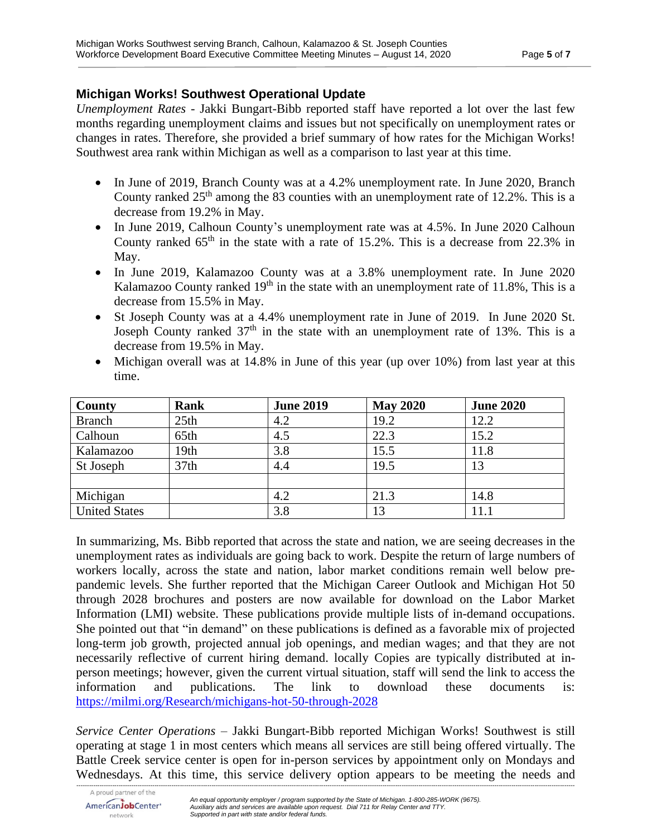# **Michigan Works! Southwest Operational Update**

*Unemployment Rates* - Jakki Bungart-Bibb reported staff have reported a lot over the last few months regarding unemployment claims and issues but not specifically on unemployment rates or changes in rates. Therefore, she provided a brief summary of how rates for the Michigan Works! Southwest area rank within Michigan as well as a comparison to last year at this time.

- In June of 2019, Branch County was at a 4.2% unemployment rate. In June 2020, Branch County ranked  $25<sup>th</sup>$  among the 83 counties with an unemployment rate of 12.2%. This is a decrease from 19.2% in May.
- In June 2019, Calhoun County's unemployment rate was at 4.5%. In June 2020 Calhoun County ranked  $65<sup>th</sup>$  in the state with a rate of 15.2%. This is a decrease from 22.3% in May.
- In June 2019, Kalamazoo County was at a 3.8% unemployment rate. In June 2020 Kalamazoo County ranked  $19<sup>th</sup>$  in the state with an unemployment rate of 11.8%, This is a decrease from 15.5% in May.
- St Joseph County was at a 4.4% unemployment rate in June of 2019. In June 2020 St. Joseph County ranked  $37<sup>th</sup>$  in the state with an unemployment rate of 13%. This is a decrease from 19.5% in May.
- Michigan overall was at 14.8% in June of this year (up over 10%) from last year at this time.

| <b>County</b>        | Rank             | <b>June 2019</b> | <b>May 2020</b> | <b>June 2020</b> |
|----------------------|------------------|------------------|-----------------|------------------|
| <b>Branch</b>        | 25 <sub>th</sub> | 4.2              | 19.2            | 12.2             |
| Calhoun              | 65th             | 4.5              | 22.3            | 15.2             |
| Kalamazoo            | 19th             | 3.8              | 15.5            | 11.8             |
| St Joseph            | 37 <sub>th</sub> | 4.4              | 19.5            | 13               |
|                      |                  |                  |                 |                  |
| Michigan             |                  | 4.2              | 21.3            | 14.8             |
| <b>United States</b> |                  | 3.8              | 13              | 11.1             |

In summarizing, Ms. Bibb reported that across the state and nation, we are seeing decreases in the unemployment rates as individuals are going back to work. Despite the return of large numbers of workers locally, across the state and nation, labor market conditions remain well below prepandemic levels. She further reported that the Michigan Career Outlook and Michigan Hot 50 through 2028 brochures and posters are now available for download on the Labor Market Information (LMI) website. These publications provide multiple lists of in-demand occupations. She pointed out that "in demand" on these publications is defined as a favorable mix of projected long-term job growth, projected annual job openings, and median wages; and that they are not necessarily reflective of current hiring demand. locally Copies are typically distributed at inperson meetings; however, given the current virtual situation, staff will send the link to access the information and publications. The link to download these documents is: <https://milmi.org/Research/michigans-hot-50-through-2028>

*Service Center Operations* – Jakki Bungart-Bibb reported Michigan Works! Southwest is still operating at stage 1 in most centers which means all services are still being offered virtually. The Battle Creek service center is open for in-person services by appointment only on Mondays and Wednesdays. At this time, this service delivery option appears to be meeting the needs and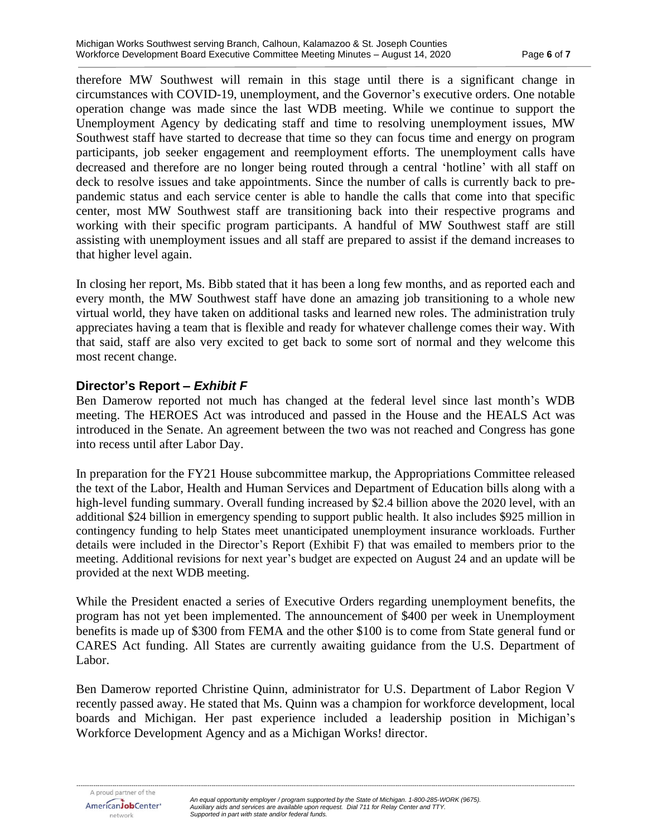therefore MW Southwest will remain in this stage until there is a significant change in circumstances with COVID-19, unemployment, and the Governor's executive orders. One notable operation change was made since the last WDB meeting. While we continue to support the Unemployment Agency by dedicating staff and time to resolving unemployment issues, MW Southwest staff have started to decrease that time so they can focus time and energy on program participants, job seeker engagement and reemployment efforts. The unemployment calls have decreased and therefore are no longer being routed through a central 'hotline' with all staff on deck to resolve issues and take appointments. Since the number of calls is currently back to prepandemic status and each service center is able to handle the calls that come into that specific center, most MW Southwest staff are transitioning back into their respective programs and working with their specific program participants. A handful of MW Southwest staff are still assisting with unemployment issues and all staff are prepared to assist if the demand increases to that higher level again.

In closing her report, Ms. Bibb stated that it has been a long few months, and as reported each and every month, the MW Southwest staff have done an amazing job transitioning to a whole new virtual world, they have taken on additional tasks and learned new roles. The administration truly appreciates having a team that is flexible and ready for whatever challenge comes their way. With that said, staff are also very excited to get back to some sort of normal and they welcome this most recent change.

# **Director's Report –** *Exhibit F*

Ben Damerow reported not much has changed at the federal level since last month's WDB meeting. The HEROES Act was introduced and passed in the House and the HEALS Act was introduced in the Senate. An agreement between the two was not reached and Congress has gone into recess until after Labor Day.

In preparation for the FY21 House subcommittee markup, the Appropriations Committee released the text of the Labor, Health and Human Services and Department of Education bills along with a high-level funding summary. Overall funding increased by \$2.4 billion above the 2020 level, with an additional \$24 billion in emergency spending to support public health. It also includes \$925 million in contingency funding to help States meet unanticipated unemployment insurance workloads. Further details were included in the Director's Report (Exhibit F) that was emailed to members prior to the meeting. Additional revisions for next year's budget are expected on August 24 and an update will be provided at the next WDB meeting.

While the President enacted a series of Executive Orders regarding unemployment benefits, the program has not yet been implemented. The announcement of \$400 per week in Unemployment benefits is made up of \$300 from FEMA and the other \$100 is to come from State general fund or CARES Act funding. All States are currently awaiting guidance from the U.S. Department of Labor.

Ben Damerow reported Christine Quinn, administrator for U.S. Department of Labor Region V recently passed away. He stated that Ms. Quinn was a champion for workforce development, local boards and Michigan. Her past experience included a leadership position in Michigan's Workforce Development Agency and as a Michigan Works! director.